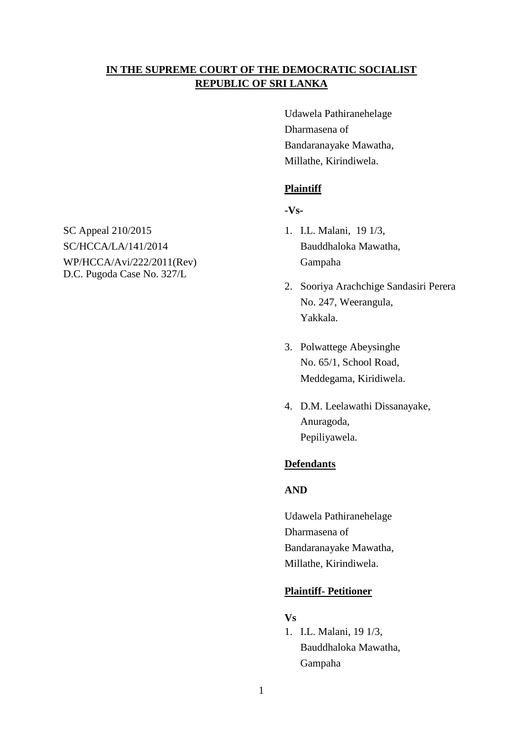# **IN THE SUPREME COURT OF THE DEMOCRATIC SOCIALIST REPUBLIC OF SRI LANKA**

Udawela Pathiranehelage Dharmasena of Bandaranayake Mawatha, Millathe, Kirindiwela.

## **Plaintiff**

# **-Vs-**

- 
- 2. Sooriya Arachchige Sandasiri Perera No. 247, Weerangula, Yakkala.
- 3. Polwattege Abeysinghe No. 65/1, School Road, Meddegama, Kiridiwela.
- 4. D.M. Leelawathi Dissanayake, Anuragoda, Pepiliyawela.

## **Defendants**

# **AND**

Udawela Pathiranehelage Dharmasena of Bandaranayake Mawatha, Millathe, Kirindiwela.

### **Plaintiff- Petitioner**

### **Vs**

1. I.L. Malani, 19 1/3, Bauddhaloka Mawatha, Gampaha

SC Appeal 210/2015 1. I.L. Malani, 19 1/3, SC/HCCA/LA/141/2014 Bauddhaloka Mawatha, WP/HCCA/Avi/222/2011(Rev) Gampaha D.C. Pugoda Case No. 327/L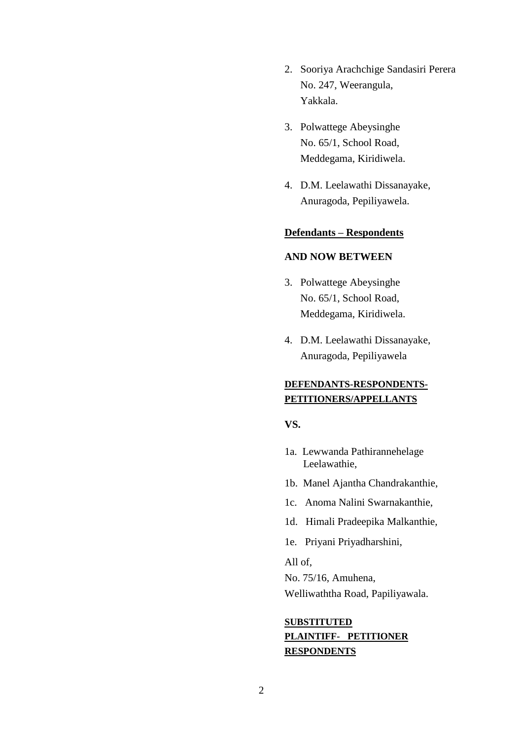- 2. Sooriya Arachchige Sandasiri Perera No. 247, Weerangula, Yakkala.
- 3. Polwattege Abeysinghe No. 65/1, School Road, Meddegama, Kiridiwela.
- 4. D.M. Leelawathi Dissanayake, Anuragoda, Pepiliyawela.

### **Defendants – Respondents**

### **AND NOW BETWEEN**

- 3. Polwattege Abeysinghe No. 65/1, School Road, Meddegama, Kiridiwela.
- 4. D.M. Leelawathi Dissanayake, Anuragoda, Pepiliyawela

# **DEFENDANTS-RESPONDENTS-PETITIONERS/APPELLANTS**

**VS.**

- 1a. Lewwanda Pathirannehelage Leelawathie,
- 1b. Manel Ajantha Chandrakanthie,
- 1c. Anoma Nalini Swarnakanthie,
- 1d. Himali Pradeepika Malkanthie,
- 1e. Priyani Priyadharshini,

All of,

No. 75/16, Amuhena, Welliwaththa Road, Papiliyawala.

# **SUBSTITUTED PLAINTIFF- PETITIONER RESPONDENTS**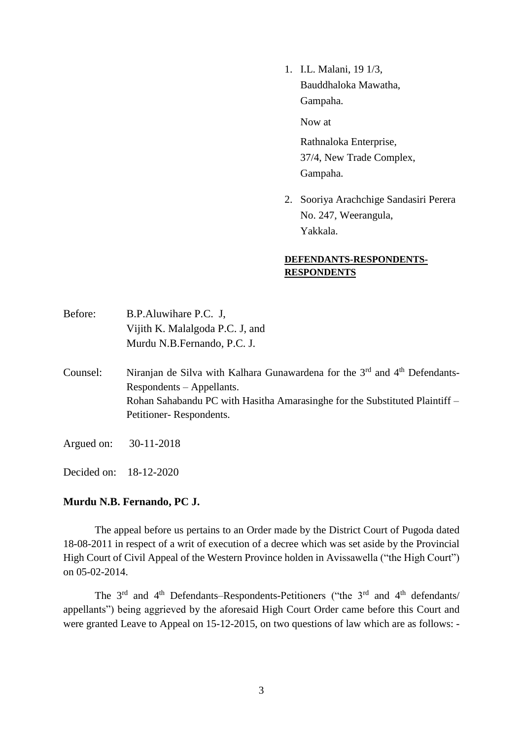1. I.L. Malani, 19 1/3, Bauddhaloka Mawatha, Gampaha.

Now at

Rathnaloka Enterprise, 37/4, New Trade Complex, Gampaha.

2. Sooriya Arachchige Sandasiri Perera No. 247, Weerangula, Yakkala.

## **DEFENDANTS-RESPONDENTS-RESPONDENTS**

| Before: | B.P.Aluwihare P.C. J.           |
|---------|---------------------------------|
|         | Vijith K. Malalgoda P.C. J, and |
|         | Murdu N.B.Fernando, P.C. J.     |

- Counsel: Niranjan de Silva with Kalhara Gunawardena for the  $3<sup>rd</sup>$  and  $4<sup>th</sup>$  Defendants-Respondents – Appellants. Rohan Sahabandu PC with Hasitha Amarasinghe for the Substituted Plaintiff – Petitioner- Respondents.
- Argued on: 30-11-2018

Decided on: 18-12-2020

## **Murdu N.B. Fernando, PC J.**

The appeal before us pertains to an Order made by the District Court of Pugoda dated 18-08-2011 in respect of a writ of execution of a decree which was set aside by the Provincial High Court of Civil Appeal of the Western Province holden in Avissawella ("the High Court") on 05-02-2014.

The  $3<sup>rd</sup>$  and  $4<sup>th</sup>$  Defendants–Respondents-Petitioners ("the  $3<sup>rd</sup>$  and  $4<sup>th</sup>$  defendants/ appellants") being aggrieved by the aforesaid High Court Order came before this Court and were granted Leave to Appeal on 15-12-2015, on two questions of law which are as follows: -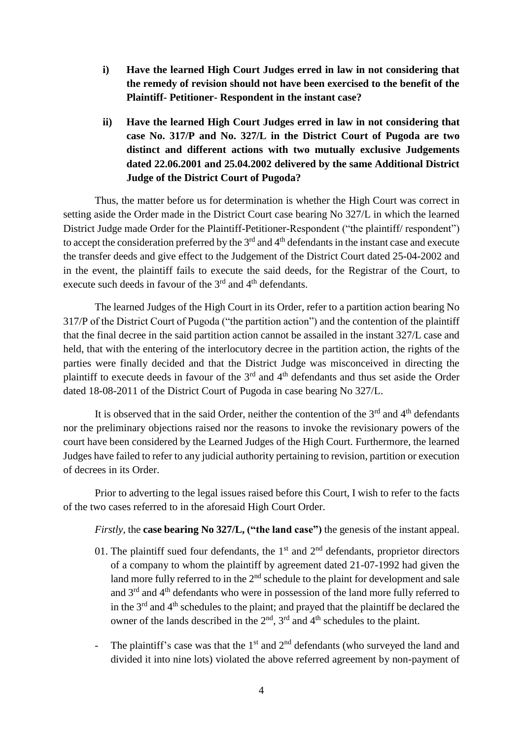- **i) Have the learned High Court Judges erred in law in not considering that the remedy of revision should not have been exercised to the benefit of the Plaintiff- Petitioner- Respondent in the instant case?**
- **ii) Have the learned High Court Judges erred in law in not considering that case No. 317/P and No. 327/L in the District Court of Pugoda are two distinct and different actions with two mutually exclusive Judgements dated 22.06.2001 and 25.04.2002 delivered by the same Additional District Judge of the District Court of Pugoda?**

Thus, the matter before us for determination is whether the High Court was correct in setting aside the Order made in the District Court case bearing No 327/L in which the learned District Judge made Order for the Plaintiff-Petitioner-Respondent ("the plaintiff/ respondent") to accept the consideration preferred by the 3<sup>rd</sup> and 4<sup>th</sup> defendants in the instant case and execute the transfer deeds and give effect to the Judgement of the District Court dated 25-04-2002 and in the event, the plaintiff fails to execute the said deeds, for the Registrar of the Court, to execute such deeds in favour of the  $3<sup>rd</sup>$  and  $4<sup>th</sup>$  defendants.

The learned Judges of the High Court in its Order, refer to a partition action bearing No 317/P of the District Court of Pugoda ("the partition action") and the contention of the plaintiff that the final decree in the said partition action cannot be assailed in the instant 327/L case and held, that with the entering of the interlocutory decree in the partition action, the rights of the parties were finally decided and that the District Judge was misconceived in directing the plaintiff to execute deeds in favour of the  $3<sup>rd</sup>$  and  $4<sup>th</sup>$  defendants and thus set aside the Order dated 18-08-2011 of the District Court of Pugoda in case bearing No 327/L.

It is observed that in the said Order, neither the contention of the  $3<sup>rd</sup>$  and  $4<sup>th</sup>$  defendants nor the preliminary objections raised nor the reasons to invoke the revisionary powers of the court have been considered by the Learned Judges of the High Court. Furthermore, the learned Judges have failed to refer to any judicial authority pertaining to revision, partition or execution of decrees in its Order.

Prior to adverting to the legal issues raised before this Court, I wish to refer to the facts of the two cases referred to in the aforesaid High Court Order.

*Firstly*, the **case bearing No 327/L, ("the land case")** the genesis of the instant appeal.

- 01. The plaintiff sued four defendants, the  $1<sup>st</sup>$  and  $2<sup>nd</sup>$  defendants, proprietor directors of a company to whom the plaintiff by agreement dated 21-07-1992 had given the land more fully referred to in the  $2<sup>nd</sup>$  schedule to the plaint for development and sale and 3rd and 4th defendants who were in possession of the land more fully referred to in the  $3<sup>rd</sup>$  and  $4<sup>th</sup>$  schedules to the plaint; and prayed that the plaintiff be declared the owner of the lands described in the  $2<sup>nd</sup>$ ,  $3<sup>rd</sup>$  and  $4<sup>th</sup>$  schedules to the plaint.
- The plaintiff's case was that the  $1<sup>st</sup>$  and  $2<sup>nd</sup>$  defendants (who surveyed the land and divided it into nine lots) violated the above referred agreement by non-payment of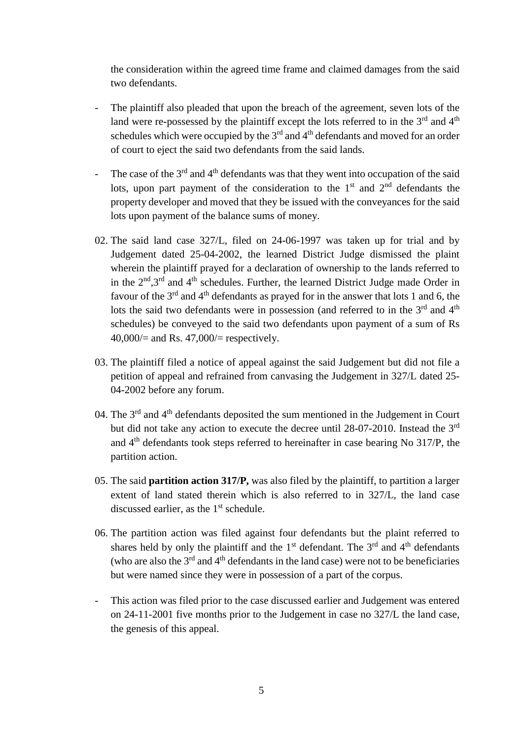the consideration within the agreed time frame and claimed damages from the said two defendants.

- The plaintiff also pleaded that upon the breach of the agreement, seven lots of the land were re-possessed by the plaintiff except the lots referred to in the  $3<sup>rd</sup>$  and  $4<sup>th</sup>$ schedules which were occupied by the  $3<sup>rd</sup>$  and  $4<sup>th</sup>$  defendants and moved for an order of court to eject the said two defendants from the said lands.
- The case of the  $3<sup>rd</sup>$  and  $4<sup>th</sup>$  defendants was that they went into occupation of the said lots, upon part payment of the consideration to the  $1<sup>st</sup>$  and  $2<sup>nd</sup>$  defendants the property developer and moved that they be issued with the conveyances for the said lots upon payment of the balance sums of money.
- 02. The said land case 327/L, filed on 24-06-1997 was taken up for trial and by Judgement dated 25-04-2002, the learned District Judge dismissed the plaint wherein the plaintiff prayed for a declaration of ownership to the lands referred to in the  $2<sup>nd</sup>$ ,  $3<sup>rd</sup>$  and  $4<sup>th</sup>$  schedules. Further, the learned District Judge made Order in favour of the 3<sup>rd</sup> and 4<sup>th</sup> defendants as prayed for in the answer that lots 1 and 6, the lots the said two defendants were in possession (and referred to in the  $3<sup>rd</sup>$  and  $4<sup>th</sup>$ schedules) be conveyed to the said two defendants upon payment of a sum of Rs 40,000/= and Rs. 47,000/= respectively.
- 03. The plaintiff filed a notice of appeal against the said Judgement but did not file a petition of appeal and refrained from canvasing the Judgement in 327/L dated 25- 04-2002 before any forum.
- 04. The  $3<sup>rd</sup>$  and  $4<sup>th</sup>$  defendants deposited the sum mentioned in the Judgement in Court but did not take any action to execute the decree until 28-07-2010. Instead the 3rd and 4th defendants took steps referred to hereinafter in case bearing No 317/P, the partition action.
- 05. The said **partition action 317/P,** was also filed by the plaintiff, to partition a larger extent of land stated therein which is also referred to in 327/L, the land case discussed earlier, as the  $1<sup>st</sup>$  schedule.
- 06. The partition action was filed against four defendants but the plaint referred to shares held by only the plaintiff and the  $1<sup>st</sup>$  defendant. The  $3<sup>rd</sup>$  and  $4<sup>th</sup>$  defendants (who are also the  $3<sup>rd</sup>$  and  $4<sup>th</sup>$  defendants in the land case) were not to be beneficiaries but were named since they were in possession of a part of the corpus.
- This action was filed prior to the case discussed earlier and Judgement was entered on 24-11-2001 five months prior to the Judgement in case no 327/L the land case, the genesis of this appeal.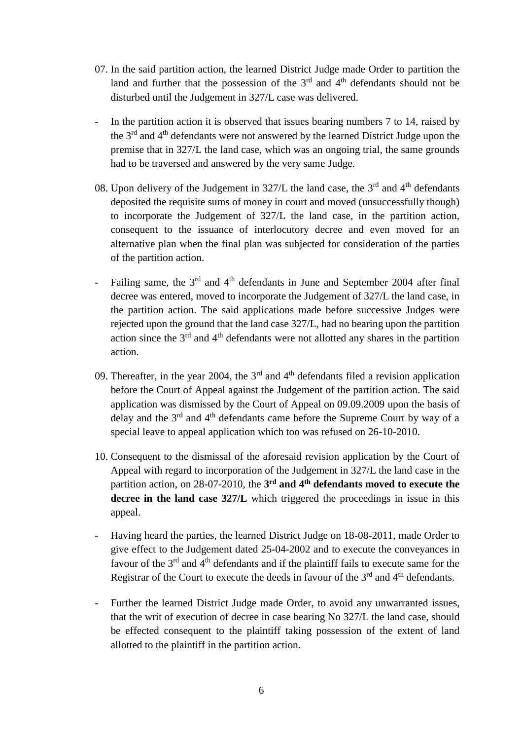- 07. In the said partition action, the learned District Judge made Order to partition the land and further that the possession of the  $3<sup>rd</sup>$  and  $4<sup>th</sup>$  defendants should not be disturbed until the Judgement in 327/L case was delivered.
- In the partition action it is observed that issues bearing numbers 7 to 14, raised by the 3rd and 4th defendants were not answered by the learned District Judge upon the premise that in 327/L the land case, which was an ongoing trial, the same grounds had to be traversed and answered by the very same Judge.
- 08. Upon delivery of the Judgement in  $327/L$  the land case, the  $3<sup>rd</sup>$  and  $4<sup>th</sup>$  defendants deposited the requisite sums of money in court and moved (unsuccessfully though) to incorporate the Judgement of 327/L the land case, in the partition action, consequent to the issuance of interlocutory decree and even moved for an alternative plan when the final plan was subjected for consideration of the parties of the partition action.
- Failing same, the  $3<sup>rd</sup>$  and  $4<sup>th</sup>$  defendants in June and September 2004 after final decree was entered, moved to incorporate the Judgement of 327/L the land case, in the partition action. The said applications made before successive Judges were rejected upon the ground that the land case 327/L, had no bearing upon the partition action since the  $3<sup>rd</sup>$  and  $4<sup>th</sup>$  defendants were not allotted any shares in the partition action.
- 09. Thereafter, in the year 2004, the  $3<sup>rd</sup>$  and  $4<sup>th</sup>$  defendants filed a revision application before the Court of Appeal against the Judgement of the partition action. The said application was dismissed by the Court of Appeal on 09.09.2009 upon the basis of delay and the  $3<sup>rd</sup>$  and  $4<sup>th</sup>$  defendants came before the Supreme Court by way of a special leave to appeal application which too was refused on 26-10-2010.
- 10. Consequent to the dismissal of the aforesaid revision application by the Court of Appeal with regard to incorporation of the Judgement in 327/L the land case in the partition action, on 28-07-2010, the 3<sup>rd</sup> and 4<sup>th</sup> defendants moved to execute the **decree in the land case 327/L** which triggered the proceedings in issue in this appeal.
- Having heard the parties, the learned District Judge on 18-08-2011, made Order to give effect to the Judgement dated 25-04-2002 and to execute the conveyances in favour of the  $3<sup>rd</sup>$  and  $4<sup>th</sup>$  defendants and if the plaintiff fails to execute same for the Registrar of the Court to execute the deeds in favour of the 3<sup>rd</sup> and 4<sup>th</sup> defendants.
- Further the learned District Judge made Order, to avoid any unwarranted issues, that the writ of execution of decree in case bearing No 327/L the land case, should be effected consequent to the plaintiff taking possession of the extent of land allotted to the plaintiff in the partition action.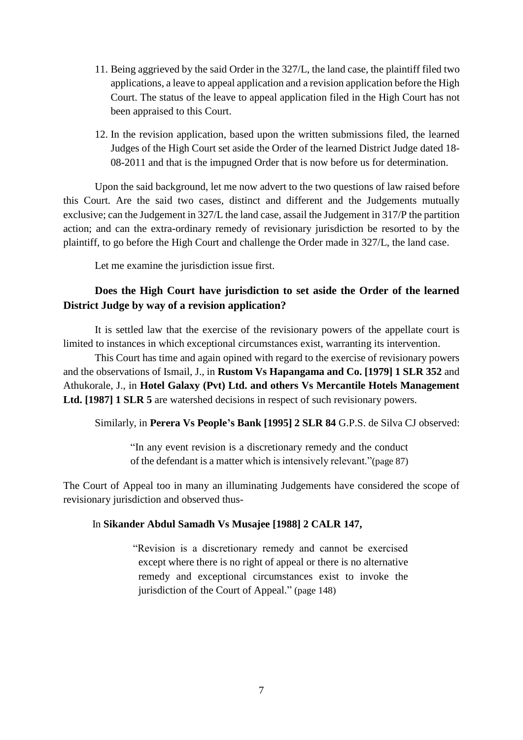- 11. Being aggrieved by the said Order in the 327/L, the land case, the plaintiff filed two applications, a leave to appeal application and a revision application before the High Court. The status of the leave to appeal application filed in the High Court has not been appraised to this Court.
- 12. In the revision application, based upon the written submissions filed, the learned Judges of the High Court set aside the Order of the learned District Judge dated 18- 08-2011 and that is the impugned Order that is now before us for determination.

Upon the said background, let me now advert to the two questions of law raised before this Court. Are the said two cases, distinct and different and the Judgements mutually exclusive; can the Judgement in 327/L the land case, assail the Judgement in 317/P the partition action; and can the extra-ordinary remedy of revisionary jurisdiction be resorted to by the plaintiff, to go before the High Court and challenge the Order made in 327/L, the land case.

Let me examine the jurisdiction issue first.

# **Does the High Court have jurisdiction to set aside the Order of the learned District Judge by way of a revision application?**

It is settled law that the exercise of the revisionary powers of the appellate court is limited to instances in which exceptional circumstances exist, warranting its intervention.

This Court has time and again opined with regard to the exercise of revisionary powers and the observations of Ismail, J., in **Rustom Vs Hapangama and Co. [1979] 1 SLR 352** and Athukorale, J., in **Hotel Galaxy (Pvt) Ltd. and others Vs Mercantile Hotels Management Ltd. [1987] 1 SLR 5** are watershed decisions in respect of such revisionary powers.

Similarly, in **Perera Vs People's Bank [1995] 2 SLR 84** G.P.S. de Silva CJ observed:

"In any event revision is a discretionary remedy and the conduct of the defendant is a matter which is intensively relevant."(page 87)

The Court of Appeal too in many an illuminating Judgements have considered the scope of revisionary jurisdiction and observed thus-

## In **Sikander Abdul Samadh Vs Musajee [1988] 2 CALR 147,**

 "Revision is a discretionary remedy and cannot be exercised except where there is no right of appeal or there is no alternative remedy and exceptional circumstances exist to invoke the jurisdiction of the Court of Appeal." (page 148)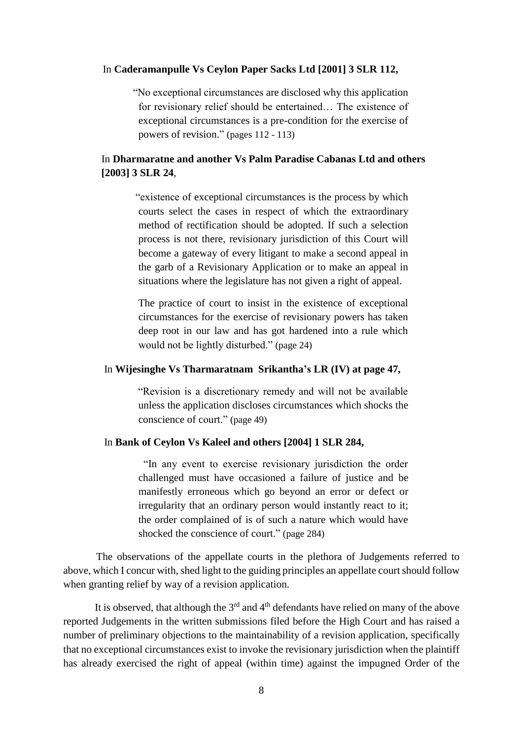### In **Caderamanpulle Vs Ceylon Paper Sacks Ltd [2001] 3 SLR 112,**

 "No exceptional circumstances are disclosed why this application for revisionary relief should be entertained… The existence of exceptional circumstances is a pre-condition for the exercise of powers of revision." (pages 112 - 113)

# In **Dharmaratne and another Vs Palm Paradise Cabanas Ltd and others [2003] 3 SLR 24**,

 "existence of exceptional circumstances is the process by which courts select the cases in respect of which the extraordinary method of rectification should be adopted. If such a selection process is not there, revisionary jurisdiction of this Court will become a gateway of every litigant to make a second appeal in the garb of a Revisionary Application or to make an appeal in situations where the legislature has not given a right of appeal.

 The practice of court to insist in the existence of exceptional circumstances for the exercise of revisionary powers has taken deep root in our law and has got hardened into a rule which would not be lightly disturbed." (page 24)

#### In **Wijesinghe Vs Tharmaratnam Srikantha's LR (IV) at page 47,**

"Revision is a discretionary remedy and will not be available unless the application discloses circumstances which shocks the conscience of court." (page 49)

### In **Bank of Ceylon Vs Kaleel and others [2004] 1 SLR 284,**

 "In any event to exercise revisionary jurisdiction the order challenged must have occasioned a failure of justice and be manifestly erroneous which go beyond an error or defect or irregularity that an ordinary person would instantly react to it; the order complained of is of such a nature which would have shocked the conscience of court." (page 284)

 The observations of the appellate courts in the plethora of Judgements referred to above, which I concur with, shed light to the guiding principles an appellate court should follow when granting relief by way of a revision application.

It is observed, that although the  $3<sup>rd</sup>$  and  $4<sup>th</sup>$  defendants have relied on many of the above reported Judgements in the written submissions filed before the High Court and has raised a number of preliminary objections to the maintainability of a revision application, specifically that no exceptional circumstances exist to invoke the revisionary jurisdiction when the plaintiff has already exercised the right of appeal (within time) against the impugned Order of the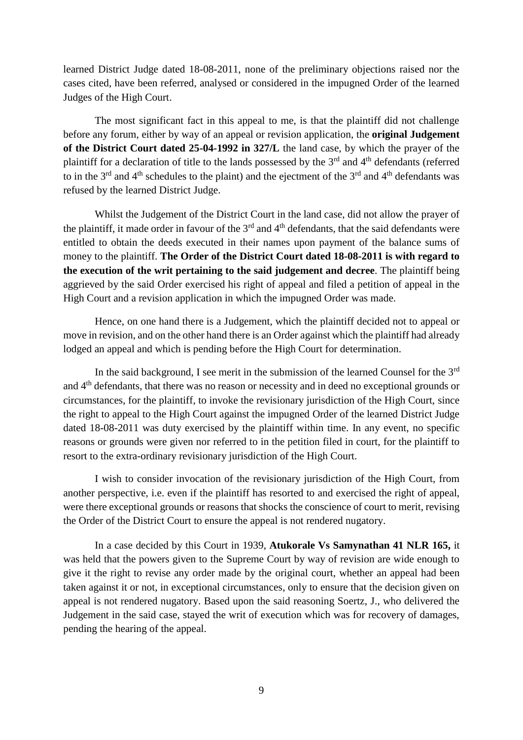learned District Judge dated 18-08-2011, none of the preliminary objections raised nor the cases cited, have been referred, analysed or considered in the impugned Order of the learned Judges of the High Court.

The most significant fact in this appeal to me, is that the plaintiff did not challenge before any forum, either by way of an appeal or revision application, the **original Judgement of the District Court dated 25-04-1992 in 327/L** the land case, by which the prayer of the plaintiff for a declaration of title to the lands possessed by the 3rd and 4th defendants (referred to in the  $3<sup>rd</sup>$  and  $4<sup>th</sup>$  schedules to the plaint) and the ejectment of the  $3<sup>rd</sup>$  and  $4<sup>th</sup>$  defendants was refused by the learned District Judge.

Whilst the Judgement of the District Court in the land case, did not allow the prayer of the plaintiff, it made order in favour of the  $3<sup>rd</sup>$  and  $4<sup>th</sup>$  defendants, that the said defendants were entitled to obtain the deeds executed in their names upon payment of the balance sums of money to the plaintiff. **The Order of the District Court dated 18-08-2011 is with regard to the execution of the writ pertaining to the said judgement and decree**. The plaintiff being aggrieved by the said Order exercised his right of appeal and filed a petition of appeal in the High Court and a revision application in which the impugned Order was made.

Hence, on one hand there is a Judgement, which the plaintiff decided not to appeal or move in revision, and on the other hand there is an Order against which the plaintiff had already lodged an appeal and which is pending before the High Court for determination.

In the said background, I see merit in the submission of the learned Counsel for the  $3<sup>rd</sup>$ and 4th defendants, that there was no reason or necessity and in deed no exceptional grounds or circumstances, for the plaintiff, to invoke the revisionary jurisdiction of the High Court, since the right to appeal to the High Court against the impugned Order of the learned District Judge dated 18-08-2011 was duty exercised by the plaintiff within time. In any event, no specific reasons or grounds were given nor referred to in the petition filed in court, for the plaintiff to resort to the extra-ordinary revisionary jurisdiction of the High Court.

I wish to consider invocation of the revisionary jurisdiction of the High Court, from another perspective, i.e. even if the plaintiff has resorted to and exercised the right of appeal, were there exceptional grounds or reasons that shocks the conscience of court to merit, revising the Order of the District Court to ensure the appeal is not rendered nugatory.

In a case decided by this Court in 1939, **Atukorale Vs Samynathan 41 NLR 165,** it was held that the powers given to the Supreme Court by way of revision are wide enough to give it the right to revise any order made by the original court, whether an appeal had been taken against it or not, in exceptional circumstances, only to ensure that the decision given on appeal is not rendered nugatory. Based upon the said reasoning Soertz, J., who delivered the Judgement in the said case, stayed the writ of execution which was for recovery of damages, pending the hearing of the appeal.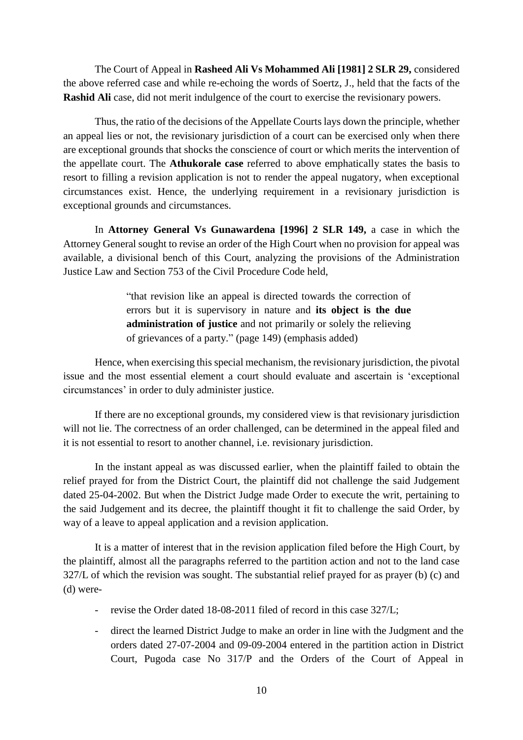The Court of Appeal in **Rasheed Ali Vs Mohammed Ali [1981] 2 SLR 29,** considered the above referred case and while re-echoing the words of Soertz, J., held that the facts of the **Rashid Ali** case, did not merit indulgence of the court to exercise the revisionary powers.

Thus, the ratio of the decisions of the Appellate Courts lays down the principle, whether an appeal lies or not, the revisionary jurisdiction of a court can be exercised only when there are exceptional grounds that shocks the conscience of court or which merits the intervention of the appellate court. The **Athukorale case** referred to above emphatically states the basis to resort to filling a revision application is not to render the appeal nugatory, when exceptional circumstances exist. Hence, the underlying requirement in a revisionary jurisdiction is exceptional grounds and circumstances.

In **Attorney General Vs Gunawardena [1996] 2 SLR 149,** a case in which the Attorney General sought to revise an order of the High Court when no provision for appeal was available, a divisional bench of this Court, analyzing the provisions of the Administration Justice Law and Section 753 of the Civil Procedure Code held,

> "that revision like an appeal is directed towards the correction of errors but it is supervisory in nature and **its object is the due administration of justice** and not primarily or solely the relieving of grievances of a party." (page 149) (emphasis added)

Hence, when exercising this special mechanism, the revisionary jurisdiction, the pivotal issue and the most essential element a court should evaluate and ascertain is 'exceptional circumstances' in order to duly administer justice.

If there are no exceptional grounds, my considered view is that revisionary jurisdiction will not lie. The correctness of an order challenged, can be determined in the appeal filed and it is not essential to resort to another channel, i.e. revisionary jurisdiction.

In the instant appeal as was discussed earlier, when the plaintiff failed to obtain the relief prayed for from the District Court, the plaintiff did not challenge the said Judgement dated 25-04-2002. But when the District Judge made Order to execute the writ, pertaining to the said Judgement and its decree, the plaintiff thought it fit to challenge the said Order, by way of a leave to appeal application and a revision application.

It is a matter of interest that in the revision application filed before the High Court, by the plaintiff, almost all the paragraphs referred to the partition action and not to the land case 327/L of which the revision was sought. The substantial relief prayed for as prayer (b) (c) and (d) were-

- revise the Order dated 18-08-2011 filed of record in this case 327/L;
- direct the learned District Judge to make an order in line with the Judgment and the orders dated 27-07-2004 and 09-09-2004 entered in the partition action in District Court, Pugoda case No 317/P and the Orders of the Court of Appeal in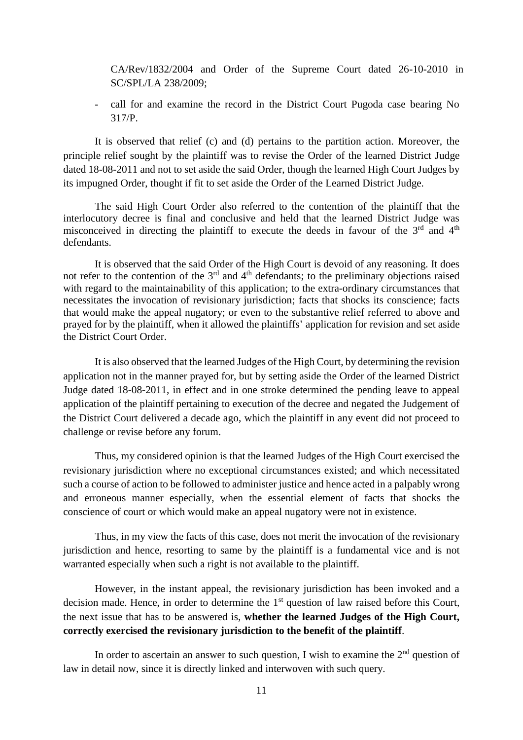CA/Rev/1832/2004 and Order of the Supreme Court dated 26-10-2010 in SC/SPL/LA 238/2009;

- call for and examine the record in the District Court Pugoda case bearing No 317/P.

It is observed that relief (c) and (d) pertains to the partition action. Moreover, the principle relief sought by the plaintiff was to revise the Order of the learned District Judge dated 18-08-2011 and not to set aside the said Order, though the learned High Court Judges by its impugned Order, thought if fit to set aside the Order of the Learned District Judge.

The said High Court Order also referred to the contention of the plaintiff that the interlocutory decree is final and conclusive and held that the learned District Judge was misconceived in directing the plaintiff to execute the deeds in favour of the  $3<sup>rd</sup>$  and  $4<sup>th</sup>$ defendants.

It is observed that the said Order of the High Court is devoid of any reasoning. It does not refer to the contention of the  $3<sup>rd</sup>$  and  $4<sup>th</sup>$  defendants; to the preliminary objections raised with regard to the maintainability of this application; to the extra-ordinary circumstances that necessitates the invocation of revisionary jurisdiction; facts that shocks its conscience; facts that would make the appeal nugatory; or even to the substantive relief referred to above and prayed for by the plaintiff, when it allowed the plaintiffs' application for revision and set aside the District Court Order.

It is also observed that the learned Judges of the High Court, by determining the revision application not in the manner prayed for, but by setting aside the Order of the learned District Judge dated 18-08-2011, in effect and in one stroke determined the pending leave to appeal application of the plaintiff pertaining to execution of the decree and negated the Judgement of the District Court delivered a decade ago, which the plaintiff in any event did not proceed to challenge or revise before any forum.

Thus, my considered opinion is that the learned Judges of the High Court exercised the revisionary jurisdiction where no exceptional circumstances existed; and which necessitated such a course of action to be followed to administer justice and hence acted in a palpably wrong and erroneous manner especially, when the essential element of facts that shocks the conscience of court or which would make an appeal nugatory were not in existence.

Thus, in my view the facts of this case, does not merit the invocation of the revisionary jurisdiction and hence, resorting to same by the plaintiff is a fundamental vice and is not warranted especially when such a right is not available to the plaintiff.

However, in the instant appeal, the revisionary jurisdiction has been invoked and a decision made. Hence, in order to determine the 1<sup>st</sup> question of law raised before this Court, the next issue that has to be answered is, **whether the learned Judges of the High Court, correctly exercised the revisionary jurisdiction to the benefit of the plaintiff**.

In order to ascertain an answer to such question, I wish to examine the  $2<sup>nd</sup>$  question of law in detail now, since it is directly linked and interwoven with such query.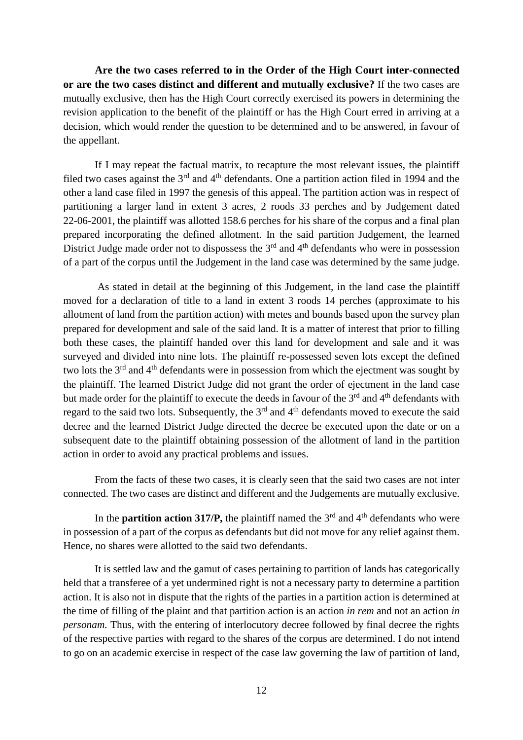**Are the two cases referred to in the Order of the High Court inter-connected or are the two cases distinct and different and mutually exclusive?** If the two cases are mutually exclusive, then has the High Court correctly exercised its powers in determining the revision application to the benefit of the plaintiff or has the High Court erred in arriving at a decision, which would render the question to be determined and to be answered, in favour of the appellant.

If I may repeat the factual matrix, to recapture the most relevant issues, the plaintiff filed two cases against the  $3<sup>rd</sup>$  and  $4<sup>th</sup>$  defendants. One a partition action filed in 1994 and the other a land case filed in 1997 the genesis of this appeal. The partition action was in respect of partitioning a larger land in extent 3 acres, 2 roods 33 perches and by Judgement dated 22-06-2001, the plaintiff was allotted 158.6 perches for his share of the corpus and a final plan prepared incorporating the defined allotment. In the said partition Judgement, the learned District Judge made order not to dispossess the  $3<sup>rd</sup>$  and  $4<sup>th</sup>$  defendants who were in possession of a part of the corpus until the Judgement in the land case was determined by the same judge.

As stated in detail at the beginning of this Judgement, in the land case the plaintiff moved for a declaration of title to a land in extent 3 roods 14 perches (approximate to his allotment of land from the partition action) with metes and bounds based upon the survey plan prepared for development and sale of the said land. It is a matter of interest that prior to filling both these cases, the plaintiff handed over this land for development and sale and it was surveyed and divided into nine lots. The plaintiff re-possessed seven lots except the defined two lots the 3<sup>rd</sup> and 4<sup>th</sup> defendants were in possession from which the ejectment was sought by the plaintiff. The learned District Judge did not grant the order of ejectment in the land case but made order for the plaintiff to execute the deeds in favour of the 3<sup>rd</sup> and 4<sup>th</sup> defendants with regard to the said two lots. Subsequently, the 3<sup>rd</sup> and 4<sup>th</sup> defendants moved to execute the said decree and the learned District Judge directed the decree be executed upon the date or on a subsequent date to the plaintiff obtaining possession of the allotment of land in the partition action in order to avoid any practical problems and issues.

From the facts of these two cases, it is clearly seen that the said two cases are not inter connected. The two cases are distinct and different and the Judgements are mutually exclusive.

In the **partition action 317/P,** the plaintiff named the  $3^{rd}$  and  $4^{th}$  defendants who were in possession of a part of the corpus as defendants but did not move for any relief against them. Hence, no shares were allotted to the said two defendants.

It is settled law and the gamut of cases pertaining to partition of lands has categorically held that a transferee of a yet undermined right is not a necessary party to determine a partition action. It is also not in dispute that the rights of the parties in a partition action is determined at the time of filling of the plaint and that partition action is an action *in rem* and not an action *in personam.* Thus, with the entering of interlocutory decree followed by final decree the rights of the respective parties with regard to the shares of the corpus are determined. I do not intend to go on an academic exercise in respect of the case law governing the law of partition of land,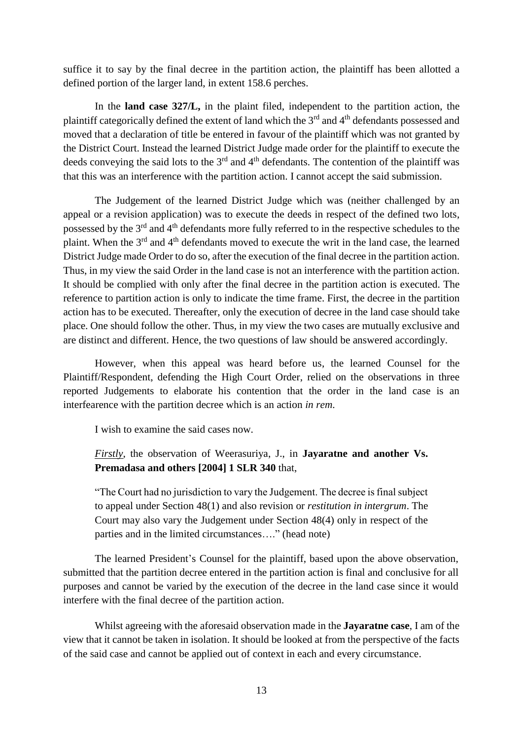suffice it to say by the final decree in the partition action, the plaintiff has been allotted a defined portion of the larger land, in extent 158.6 perches.

In the **land case 327/L,** in the plaint filed, independent to the partition action, the plaintiff categorically defined the extent of land which the 3<sup>rd</sup> and 4<sup>th</sup> defendants possessed and moved that a declaration of title be entered in favour of the plaintiff which was not granted by the District Court. Instead the learned District Judge made order for the plaintiff to execute the deeds conveying the said lots to the  $3<sup>rd</sup>$  and  $4<sup>th</sup>$  defendants. The contention of the plaintiff was that this was an interference with the partition action. I cannot accept the said submission.

The Judgement of the learned District Judge which was (neither challenged by an appeal or a revision application) was to execute the deeds in respect of the defined two lots, possessed by the 3rd and 4th defendants more fully referred to in the respective schedules to the plaint. When the 3<sup>rd</sup> and 4<sup>th</sup> defendants moved to execute the writ in the land case, the learned District Judge made Order to do so, after the execution of the final decree in the partition action. Thus, in my view the said Order in the land case is not an interference with the partition action. It should be complied with only after the final decree in the partition action is executed. The reference to partition action is only to indicate the time frame. First, the decree in the partition action has to be executed. Thereafter, only the execution of decree in the land case should take place. One should follow the other. Thus, in my view the two cases are mutually exclusive and are distinct and different. Hence, the two questions of law should be answered accordingly.

However, when this appeal was heard before us, the learned Counsel for the Plaintiff/Respondent, defending the High Court Order, relied on the observations in three reported Judgements to elaborate his contention that the order in the land case is an interfearence with the partition decree which is an action *in rem*.

I wish to examine the said cases now.

*Firstly*, the observation of Weerasuriya, J., in **Jayaratne and another Vs. Premadasa and others [2004] 1 SLR 340** that,

"The Court had no jurisdiction to vary the Judgement. The decree is final subject to appeal under Section 48(1) and also revision or *restitution in intergrum*. The Court may also vary the Judgement under Section 48(4) only in respect of the parties and in the limited circumstances…." (head note)

The learned President's Counsel for the plaintiff, based upon the above observation, submitted that the partition decree entered in the partition action is final and conclusive for all purposes and cannot be varied by the execution of the decree in the land case since it would interfere with the final decree of the partition action.

Whilst agreeing with the aforesaid observation made in the **Jayaratne case**, I am of the view that it cannot be taken in isolation. It should be looked at from the perspective of the facts of the said case and cannot be applied out of context in each and every circumstance.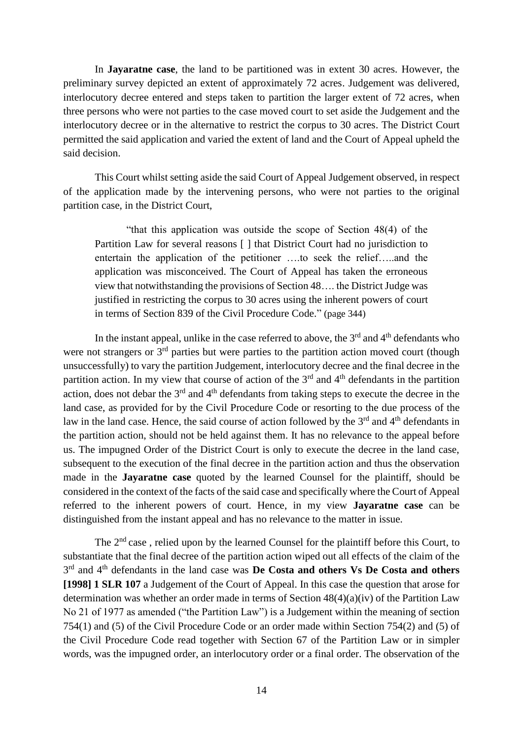In **Jayaratne case**, the land to be partitioned was in extent 30 acres. However, the preliminary survey depicted an extent of approximately 72 acres. Judgement was delivered, interlocutory decree entered and steps taken to partition the larger extent of 72 acres, when three persons who were not parties to the case moved court to set aside the Judgement and the interlocutory decree or in the alternative to restrict the corpus to 30 acres. The District Court permitted the said application and varied the extent of land and the Court of Appeal upheld the said decision.

This Court whilst setting aside the said Court of Appeal Judgement observed, in respect of the application made by the intervening persons, who were not parties to the original partition case, in the District Court,

"that this application was outside the scope of Section 48(4) of the Partition Law for several reasons [ ] that District Court had no jurisdiction to entertain the application of the petitioner ….to seek the relief…..and the application was misconceived. The Court of Appeal has taken the erroneous view that notwithstanding the provisions of Section 48…. the District Judge was justified in restricting the corpus to 30 acres using the inherent powers of court in terms of Section 839 of the Civil Procedure Code." (page 344)

In the instant appeal, unlike in the case referred to above, the  $3<sup>rd</sup>$  and  $4<sup>th</sup>$  defendants who were not strangers or 3<sup>rd</sup> parties but were parties to the partition action moved court (though unsuccessfully) to vary the partition Judgement, interlocutory decree and the final decree in the partition action. In my view that course of action of the  $3<sup>rd</sup>$  and  $4<sup>th</sup>$  defendants in the partition action, does not debar the 3rd and 4th defendants from taking steps to execute the decree in the land case, as provided for by the Civil Procedure Code or resorting to the due process of the law in the land case. Hence, the said course of action followed by the  $3<sup>rd</sup>$  and  $4<sup>th</sup>$  defendants in the partition action, should not be held against them. It has no relevance to the appeal before us. The impugned Order of the District Court is only to execute the decree in the land case, subsequent to the execution of the final decree in the partition action and thus the observation made in the **Jayaratne case** quoted by the learned Counsel for the plaintiff, should be considered in the context of the facts of the said case and specifically where the Court of Appeal referred to the inherent powers of court. Hence, in my view **Jayaratne case** can be distinguished from the instant appeal and has no relevance to the matter in issue.

The  $2<sup>nd</sup>$  case, relied upon by the learned Counsel for the plaintiff before this Court, to substantiate that the final decree of the partition action wiped out all effects of the claim of the 3<sup>rd</sup> and 4<sup>th</sup> defendants in the land case was **De Costa and others Vs De Costa and others [1998] 1 SLR 107** a Judgement of the Court of Appeal. In this case the question that arose for determination was whether an order made in terms of Section 48(4)(a)(iv) of the Partition Law No 21 of 1977 as amended ("the Partition Law") is a Judgement within the meaning of section 754(1) and (5) of the Civil Procedure Code or an order made within Section 754(2) and (5) of the Civil Procedure Code read together with Section 67 of the Partition Law or in simpler words, was the impugned order, an interlocutory order or a final order. The observation of the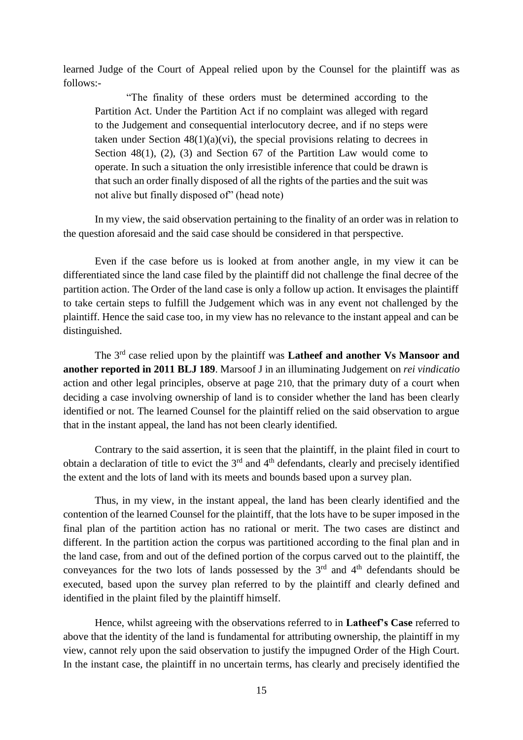learned Judge of the Court of Appeal relied upon by the Counsel for the plaintiff was as follows:-

"The finality of these orders must be determined according to the Partition Act. Under the Partition Act if no complaint was alleged with regard to the Judgement and consequential interlocutory decree, and if no steps were taken under Section  $48(1)(a)(vi)$ , the special provisions relating to decrees in Section  $48(1)$ ,  $(2)$ ,  $(3)$  and Section 67 of the Partition Law would come to operate. In such a situation the only irresistible inference that could be drawn is that such an order finally disposed of all the rights of the parties and the suit was not alive but finally disposed of" (head note)

In my view, the said observation pertaining to the finality of an order was in relation to the question aforesaid and the said case should be considered in that perspective.

Even if the case before us is looked at from another angle, in my view it can be differentiated since the land case filed by the plaintiff did not challenge the final decree of the partition action. The Order of the land case is only a follow up action. It envisages the plaintiff to take certain steps to fulfill the Judgement which was in any event not challenged by the plaintiff. Hence the said case too, in my view has no relevance to the instant appeal and can be distinguished.

The 3rd case relied upon by the plaintiff was **Latheef and another Vs Mansoor and another reported in 2011 BLJ 189**. Marsoof J in an illuminating Judgement on *rei vindicatio* action and other legal principles, observe at page 210, that the primary duty of a court when deciding a case involving ownership of land is to consider whether the land has been clearly identified or not. The learned Counsel for the plaintiff relied on the said observation to argue that in the instant appeal, the land has not been clearly identified.

Contrary to the said assertion, it is seen that the plaintiff, in the plaint filed in court to obtain a declaration of title to evict the  $3<sup>rd</sup>$  and  $4<sup>th</sup>$  defendants, clearly and precisely identified the extent and the lots of land with its meets and bounds based upon a survey plan.

Thus, in my view, in the instant appeal, the land has been clearly identified and the contention of the learned Counsel for the plaintiff, that the lots have to be super imposed in the final plan of the partition action has no rational or merit. The two cases are distinct and different. In the partition action the corpus was partitioned according to the final plan and in the land case, from and out of the defined portion of the corpus carved out to the plaintiff, the conveyances for the two lots of lands possessed by the  $3<sup>rd</sup>$  and  $4<sup>th</sup>$  defendants should be executed, based upon the survey plan referred to by the plaintiff and clearly defined and identified in the plaint filed by the plaintiff himself.

Hence, whilst agreeing with the observations referred to in **Latheef's Case** referred to above that the identity of the land is fundamental for attributing ownership, the plaintiff in my view, cannot rely upon the said observation to justify the impugned Order of the High Court. In the instant case, the plaintiff in no uncertain terms, has clearly and precisely identified the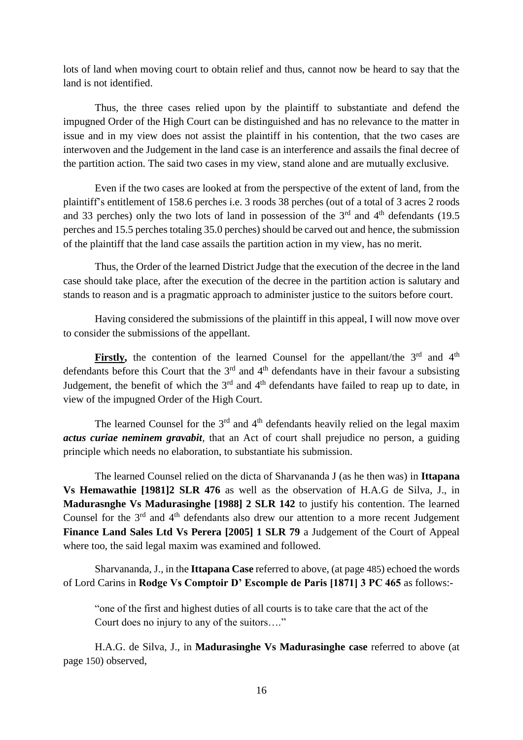lots of land when moving court to obtain relief and thus, cannot now be heard to say that the land is not identified.

Thus, the three cases relied upon by the plaintiff to substantiate and defend the impugned Order of the High Court can be distinguished and has no relevance to the matter in issue and in my view does not assist the plaintiff in his contention, that the two cases are interwoven and the Judgement in the land case is an interference and assails the final decree of the partition action. The said two cases in my view, stand alone and are mutually exclusive.

Even if the two cases are looked at from the perspective of the extent of land, from the plaintiff's entitlement of 158.6 perches i.e. 3 roods 38 perches (out of a total of 3 acres 2 roods and 33 perches) only the two lots of land in possession of the  $3<sup>rd</sup>$  and  $4<sup>th</sup>$  defendants (19.5) perches and 15.5 perches totaling 35.0 perches) should be carved out and hence, the submission of the plaintiff that the land case assails the partition action in my view, has no merit.

Thus, the Order of the learned District Judge that the execution of the decree in the land case should take place, after the execution of the decree in the partition action is salutary and stands to reason and is a pragmatic approach to administer justice to the suitors before court.

Having considered the submissions of the plaintiff in this appeal, I will now move over to consider the submissions of the appellant.

**Firstly,** the contention of the learned Counsel for the appellant/the  $3<sup>rd</sup>$  and  $4<sup>th</sup>$ defendants before this Court that the  $3<sup>rd</sup>$  and  $4<sup>th</sup>$  defendants have in their favour a subsisting Judgement, the benefit of which the  $3<sup>rd</sup>$  and  $4<sup>th</sup>$  defendants have failed to reap up to date, in view of the impugned Order of the High Court.

The learned Counsel for the  $3<sup>rd</sup>$  and  $4<sup>th</sup>$  defendants heavily relied on the legal maxim *actus curiae neminem gravabit,* that an Act of court shall prejudice no person, a guiding principle which needs no elaboration, to substantiate his submission.

The learned Counsel relied on the dicta of Sharvananda J (as he then was) in **Ittapana Vs Hemawathie [1981]2 SLR 476** as well as the observation of H.A.G de Silva, J., in **Madurasnghe Vs Madurasinghe [1988] 2 SLR 142** to justify his contention. The learned Counsel for the  $3<sup>rd</sup>$  and  $4<sup>th</sup>$  defendants also drew our attention to a more recent Judgement **Finance Land Sales Ltd Vs Perera [2005] 1 SLR 79** a Judgement of the Court of Appeal where too, the said legal maxim was examined and followed.

Sharvananda, J., in the **Ittapana Case** referred to above, (at page 485) echoed the words of Lord Carins in **Rodge Vs Comptoir D' Escomple de Paris [1871] 3 PC 465** as follows:-

"one of the first and highest duties of all courts is to take care that the act of the Court does no injury to any of the suitors…."

H.A.G. de Silva, J., in **Madurasinghe Vs Madurasinghe case** referred to above (at page 150) observed,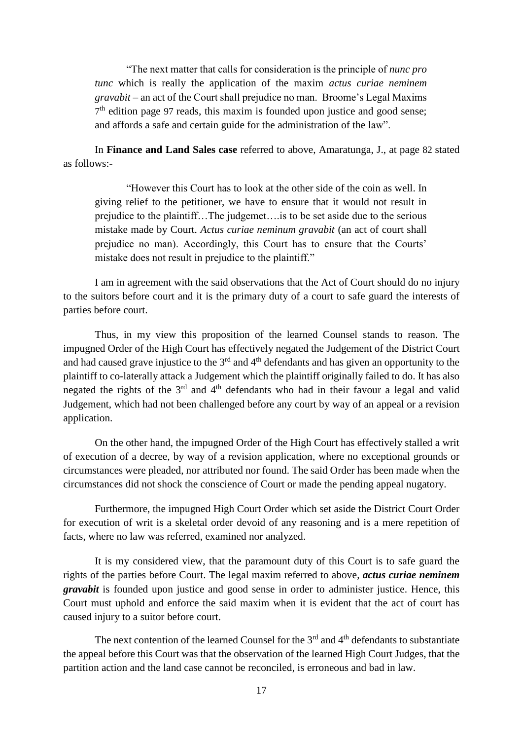"The next matter that calls for consideration is the principle of *nunc pro tunc* which is really the application of the maxim *actus curiae neminem gravabit* – an act of the Court shall prejudice no man. Broome's Legal Maxims 7<sup>th</sup> edition page 97 reads, this maxim is founded upon justice and good sense; and affords a safe and certain guide for the administration of the law".

In **Finance and Land Sales case** referred to above, Amaratunga, J., at page 82 stated as follows:-

"However this Court has to look at the other side of the coin as well. In giving relief to the petitioner, we have to ensure that it would not result in prejudice to the plaintiff…The judgemet….is to be set aside due to the serious mistake made by Court. *Actus curiae neminum gravabit* (an act of court shall prejudice no man). Accordingly, this Court has to ensure that the Courts' mistake does not result in prejudice to the plaintiff."

I am in agreement with the said observations that the Act of Court should do no injury to the suitors before court and it is the primary duty of a court to safe guard the interests of parties before court.

Thus, in my view this proposition of the learned Counsel stands to reason. The impugned Order of the High Court has effectively negated the Judgement of the District Court and had caused grave injustice to the  $3<sup>rd</sup>$  and  $4<sup>th</sup>$  defendants and has given an opportunity to the plaintiff to co-laterally attack a Judgement which the plaintiff originally failed to do. It has also negated the rights of the  $3<sup>rd</sup>$  and  $4<sup>th</sup>$  defendants who had in their favour a legal and valid Judgement, which had not been challenged before any court by way of an appeal or a revision application.

On the other hand, the impugned Order of the High Court has effectively stalled a writ of execution of a decree, by way of a revision application, where no exceptional grounds or circumstances were pleaded, nor attributed nor found. The said Order has been made when the circumstances did not shock the conscience of Court or made the pending appeal nugatory.

Furthermore, the impugned High Court Order which set aside the District Court Order for execution of writ is a skeletal order devoid of any reasoning and is a mere repetition of facts, where no law was referred, examined nor analyzed.

It is my considered view, that the paramount duty of this Court is to safe guard the rights of the parties before Court. The legal maxim referred to above, *actus curiae neminem gravabit* is founded upon justice and good sense in order to administer justice. Hence, this Court must uphold and enforce the said maxim when it is evident that the act of court has caused injury to a suitor before court.

The next contention of the learned Counsel for the  $3<sup>rd</sup>$  and  $4<sup>th</sup>$  defendants to substantiate the appeal before this Court was that the observation of the learned High Court Judges, that the partition action and the land case cannot be reconciled, is erroneous and bad in law.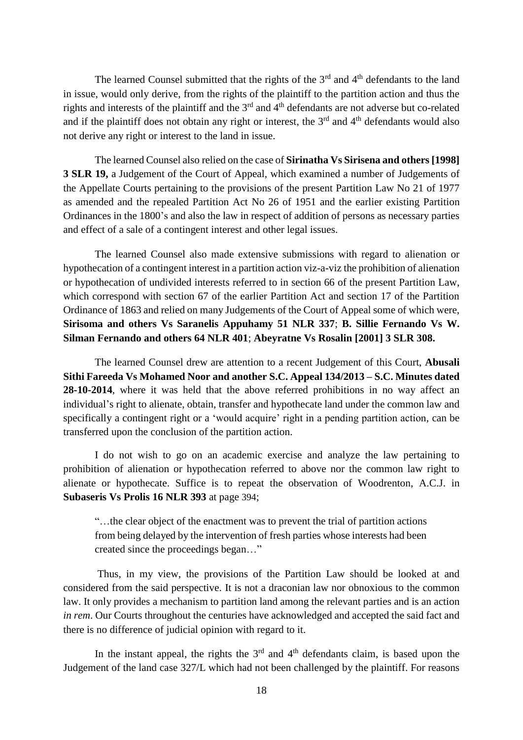The learned Counsel submitted that the rights of the  $3<sup>rd</sup>$  and  $4<sup>th</sup>$  defendants to the land in issue, would only derive, from the rights of the plaintiff to the partition action and thus the rights and interests of the plaintiff and the 3<sup>rd</sup> and 4<sup>th</sup> defendants are not adverse but co-related and if the plaintiff does not obtain any right or interest, the  $3<sup>rd</sup>$  and  $4<sup>th</sup>$  defendants would also not derive any right or interest to the land in issue.

The learned Counsel also relied on the case of **Sirinatha Vs Sirisena and others [1998] 3 SLR 19,** a Judgement of the Court of Appeal, which examined a number of Judgements of the Appellate Courts pertaining to the provisions of the present Partition Law No 21 of 1977 as amended and the repealed Partition Act No 26 of 1951 and the earlier existing Partition Ordinances in the 1800's and also the law in respect of addition of persons as necessary parties and effect of a sale of a contingent interest and other legal issues.

The learned Counsel also made extensive submissions with regard to alienation or hypothecation of a contingent interest in a partition action viz-a-viz the prohibition of alienation or hypothecation of undivided interests referred to in section 66 of the present Partition Law, which correspond with section 67 of the earlier Partition Act and section 17 of the Partition Ordinance of 1863 and relied on many Judgements of the Court of Appeal some of which were, **Sirisoma and others Vs Saranelis Appuhamy 51 NLR 337**; **B. Sillie Fernando Vs W. Silman Fernando and others 64 NLR 401**; **Abeyratne Vs Rosalin [2001] 3 SLR 308.**

The learned Counsel drew are attention to a recent Judgement of this Court, **Abusali Sithi Fareeda Vs Mohamed Noor and another S.C. Appeal 134/2013 – S.C. Minutes dated 28-10-2014**, where it was held that the above referred prohibitions in no way affect an individual's right to alienate, obtain, transfer and hypothecate land under the common law and specifically a contingent right or a 'would acquire' right in a pending partition action, can be transferred upon the conclusion of the partition action.

I do not wish to go on an academic exercise and analyze the law pertaining to prohibition of alienation or hypothecation referred to above nor the common law right to alienate or hypothecate. Suffice is to repeat the observation of Woodrenton, A.C.J. in **Subaseris Vs Prolis 16 NLR 393** at page 394;

"…the clear object of the enactment was to prevent the trial of partition actions from being delayed by the intervention of fresh parties whose interests had been created since the proceedings began…"

Thus, in my view, the provisions of the Partition Law should be looked at and considered from the said perspective. It is not a draconian law nor obnoxious to the common law. It only provides a mechanism to partition land among the relevant parties and is an action *in rem*. Our Courts throughout the centuries have acknowledged and accepted the said fact and there is no difference of judicial opinion with regard to it.

In the instant appeal, the rights the  $3<sup>rd</sup>$  and  $4<sup>th</sup>$  defendants claim, is based upon the Judgement of the land case 327/L which had not been challenged by the plaintiff. For reasons